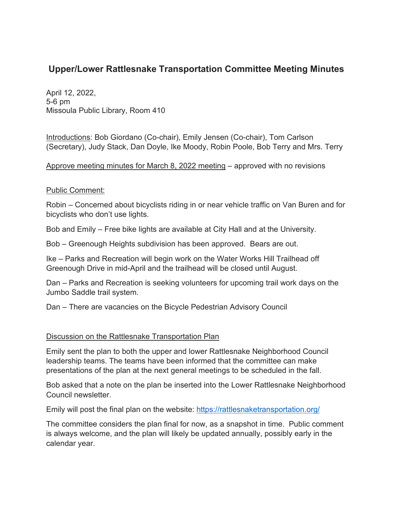## **Upper/Lower Rattlesnake Transportation Committee Meeting Minutes**

April 12, 2022, 5-6 pm Missoula Public Library, Room 410

Introductions: Bob Giordano (Co-chair), Emily Jensen (Co-chair), Tom Carlson (Secretary), Judy Stack, Dan Doyle, Ike Moody, Robin Poole, Bob Terry and Mrs. Terry

Approve meeting minutes for March 8, 2022 meeting – approved with no revisions

## Public Comment:

Robin – Concerned about bicyclists riding in or near vehicle traffic on Van Buren and for bicyclists who don't use lights.

Bob and Emily – Free bike lights are available at City Hall and at the University.

Bob – Greenough Heights subdivision has been approved. Bears are out.

Ike – Parks and Recreation will begin work on the Water Works Hill Trailhead off Greenough Drive in mid-April and the trailhead will be closed until August.

Dan – Parks and Recreation is seeking volunteers for upcoming trail work days on the Jumbo Saddle trail system.

Dan – There are vacancies on the Bicycle Pedestrian Advisory Council

## Discussion on the Rattlesnake Transportation Plan

Emily sent the plan to both the upper and lower Rattlesnake Neighborhood Council leadership teams. The teams have been informed that the committee can make presentations of the plan at the next general meetings to be scheduled in the fall.

Bob asked that a note on the plan be inserted into the Lower Rattlesnake Neighborhood Council newsletter.

Emily will post the final plan on the website:<https://rattlesnaketransportation.org/>

The committee considers the plan final for now, as a snapshot in time. Public comment is always welcome, and the plan will likely be updated annually, possibly early in the calendar year.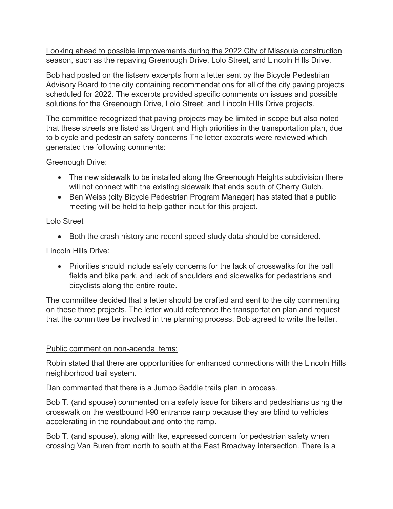Looking ahead to possible improvements during the 2022 City of Missoula construction season, such as the repaving Greenough Drive, Lolo Street, and Lincoln Hills Drive.

Bob had posted on the listserv excerpts from a letter sent by the Bicycle Pedestrian Advisory Board to the city containing recommendations for all of the city paving projects scheduled for 2022. The excerpts provided specific comments on issues and possible solutions for the Greenough Drive, Lolo Street, and Lincoln Hills Drive projects.

The committee recognized that paving projects may be limited in scope but also noted that these streets are listed as Urgent and High priorities in the transportation plan, due to bicycle and pedestrian safety concerns The letter excerpts were reviewed which generated the following comments:

Greenough Drive:

- The new sidewalk to be installed along the Greenough Heights subdivision there will not connect with the existing sidewalk that ends south of Cherry Gulch.
- Ben Weiss (city Bicycle Pedestrian Program Manager) has stated that a public meeting will be held to help gather input for this project.

Lolo Street

• Both the crash history and recent speed study data should be considered.

Lincoln Hills Drive:

• Priorities should include safety concerns for the lack of crosswalks for the ball fields and bike park, and lack of shoulders and sidewalks for pedestrians and bicyclists along the entire route.

The committee decided that a letter should be drafted and sent to the city commenting on these three projects. The letter would reference the transportation plan and request that the committee be involved in the planning process. Bob agreed to write the letter.

## Public comment on non-agenda items:

Robin stated that there are opportunities for enhanced connections with the Lincoln Hills neighborhood trail system.

Dan commented that there is a Jumbo Saddle trails plan in process.

Bob T. (and spouse) commented on a safety issue for bikers and pedestrians using the crosswalk on the westbound I-90 entrance ramp because they are blind to vehicles accelerating in the roundabout and onto the ramp.

Bob T. (and spouse), along with Ike, expressed concern for pedestrian safety when crossing Van Buren from north to south at the East Broadway intersection. There is a